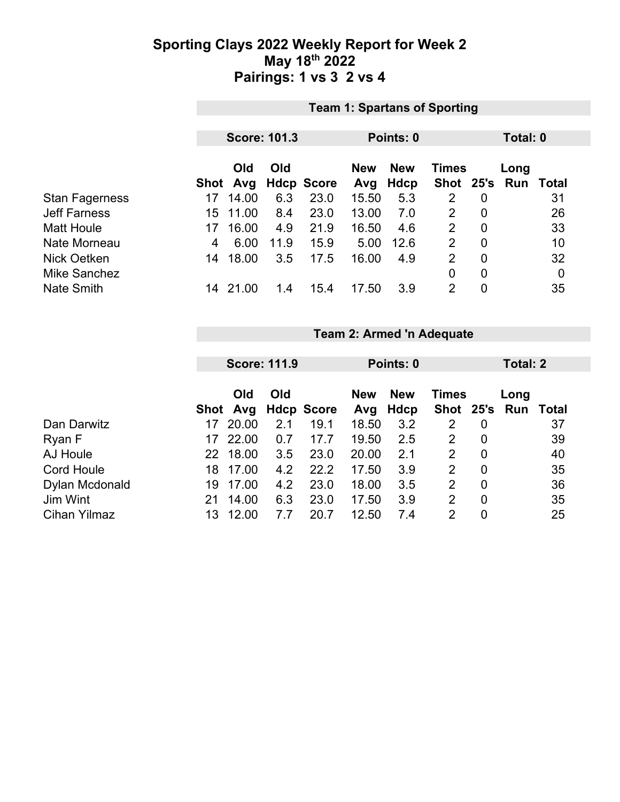### **Sporting Clays 2022 Weekly Report for Week 2 May 18th 2022 Pairings: 1 vs 3 2 vs 4**

|                       | <b>Team 1: Spartans of Sporting</b> |                     |      |                   |                   |                    |                    |                |             |                  |
|-----------------------|-------------------------------------|---------------------|------|-------------------|-------------------|--------------------|--------------------|----------------|-------------|------------------|
|                       |                                     |                     |      |                   |                   |                    |                    |                |             |                  |
|                       |                                     | <b>Score: 101.3</b> |      |                   |                   | Points: 0          |                    | Total: 0       |             |                  |
|                       | Shot                                | Old<br>Avg          | Old  | <b>Hdcp Score</b> | <b>New</b><br>Avg | <b>New</b><br>Hdcp | Times<br>Shot 25's |                | Long<br>Run | Total            |
| <b>Stan Fagerness</b> | 17                                  | 14.00               | 6.3  | 23.0              | 15.50             | 5.3                | 2                  | $\overline{0}$ |             | 31               |
| <b>Jeff Farness</b>   | 15.                                 | 11.00               | 8.4  | 23.0              | 13.00             | 7.0                | 2                  | $\overline{0}$ |             | 26               |
| <b>Matt Houle</b>     | 17                                  | 16.00               | 4.9  | 21.9              | 16.50             | 4.6                | 2                  | $\overline{0}$ |             | 33               |
| Nate Morneau          | 4                                   | 6.00                | 11.9 | 15.9              | 5.00              | 12.6               | $\overline{2}$     | $\mathbf 0$    |             | 10               |
| Nick Oetken           | 14                                  | 18.00               | 3.5  | 17.5              | 16.00             | 4.9                | $\overline{2}$     | $\overline{0}$ |             | 32               |
| <b>Mike Sanchez</b>   |                                     |                     |      |                   |                   |                    | $\overline{0}$     | $\mathbf 0$    |             | $\boldsymbol{0}$ |
| <b>Nate Smith</b>     | 14.                                 | 21.00               | 1.4  | 15.4              | 17.50             | 3.9                | $\overline{2}$     | $\mathbf 0$    |             | 35               |

#### **Team 2: Armed 'n Adequate**

|                     | <b>Score: 111.9</b> |                 |     |                   | Points: 0         |                    |                | Total: 2       |                             |    |
|---------------------|---------------------|-----------------|-----|-------------------|-------------------|--------------------|----------------|----------------|-----------------------------|----|
|                     |                     | Old<br>Shot Avg | Old | <b>Hdcp Score</b> | <b>New</b><br>Avg | <b>New</b><br>Hdcp | Times          |                | Long<br>Shot 25's Run Total |    |
| Dan Darwitz         | 17                  | 20.00           | 2.1 | 19.1              | 18.50             | 3.2                | 2              | 0              |                             | 37 |
| Ryan F              | 17                  | 22.00           | 0.7 | 17.7              | 19.50             | 2.5                | 2              | $\mathbf 0$    |                             | 39 |
| AJ Houle            |                     | 22 18.00        | 3.5 | 23.0              | 20.00             | 2.1                | 2              | $\mathbf 0$    |                             | 40 |
| <b>Cord Houle</b>   | 18                  | 17.00           | 4.2 | 22.2              | 17.50             | 3.9                | 2              | 0              |                             | 35 |
| Dylan Mcdonald      | 19                  | 17.00           | 4.2 | 23.0              | 18.00             | 3.5                | 2              | $\overline{0}$ |                             | 36 |
| Jim Wint            | 21                  | 14.00           | 6.3 | 23.0              | 17.50             | 3.9                | $\overline{2}$ | $\mathbf 0$    |                             | 35 |
| <b>Cihan Yilmaz</b> | 13                  | 12.00           | 7.7 | 20.7              | 12.50             | 7.4                | 2              | 0              |                             | 25 |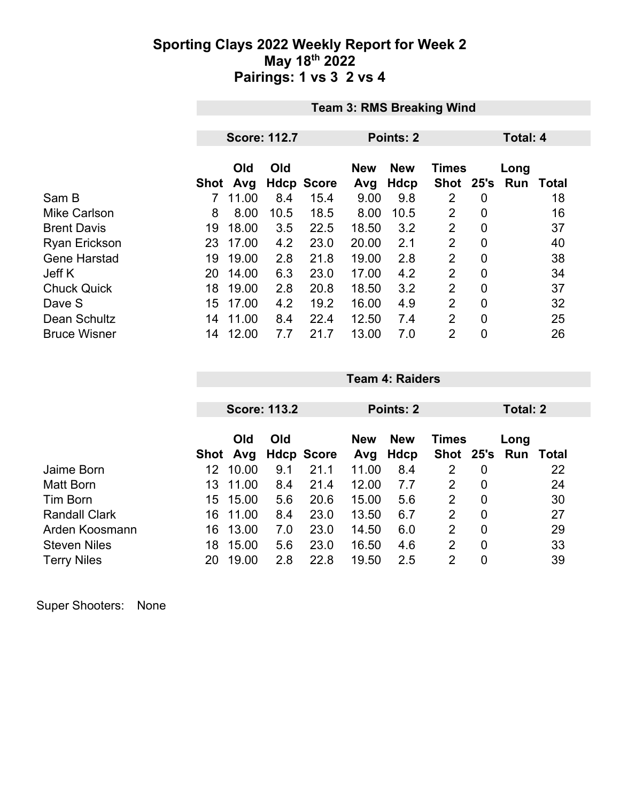### **Sporting Clays 2022 Weekly Report for Week 2 May 18th 2022 Pairings: 1 vs 3 2 vs 4**

|                      | <b>Team 3: RMS Breaking Wind</b> |                     |      |                   |            |            |                |                |      |                  |
|----------------------|----------------------------------|---------------------|------|-------------------|------------|------------|----------------|----------------|------|------------------|
|                      |                                  | <b>Score: 112.7</b> |      |                   |            | Points: 2  | Total: 4       |                |      |                  |
|                      |                                  |                     |      |                   |            |            |                |                |      |                  |
|                      |                                  | Old                 | Old  |                   | <b>New</b> | <b>New</b> | <b>Times</b>   |                | Long |                  |
|                      | Shot                             | Avg                 |      | <b>Hdcp Score</b> | Avg        | Hdcp       | Shot 25's      |                |      | <b>Run Total</b> |
| Sam B                |                                  | 11.00               | 8.4  | 15.4              | 9.00       | 9.8        | 2              | 0              |      | 18               |
| <b>Mike Carlson</b>  | 8                                | 8.00                | 10.5 | 18.5              | 8.00       | 10.5       | $\overline{2}$ | 0              |      | 16               |
| <b>Brent Davis</b>   | 19                               | 18.00               | 3.5  | 22.5              | 18.50      | 3.2        | $\overline{2}$ | 0              |      | 37               |
| <b>Ryan Erickson</b> | 23                               | 17.00               | 4.2  | 23.0              | 20.00      | 2.1        | $\overline{2}$ | 0              |      | 40               |
| <b>Gene Harstad</b>  | 19                               | 19.00               | 2.8  | 21.8              | 19.00      | 2.8        | $\overline{2}$ | $\overline{0}$ |      | 38               |
| Jeff K               | 20                               | 14.00               | 6.3  | 23.0              | 17.00      | 4.2        | $\overline{2}$ | 0              |      | 34               |
| <b>Chuck Quick</b>   | 18                               | 19.00               | 2.8  | 20.8              | 18.50      | 3.2        | $\overline{2}$ | $\overline{0}$ |      | 37               |
| Dave S               | 15                               | 17.00               | 4.2  | 19.2              | 16.00      | 4.9        | $\overline{2}$ | $\Omega$       |      | 32               |
| Dean Schultz         | 14                               | 11.00               | 8.4  | 22.4              | 12.50      | 7.4        | $\overline{2}$ | 0              |      | 25               |
| <b>Bruce Wisner</b>  | 14                               | 12.00               | 7.7  | 21.7              | 13.00      | 7.0        | $\overline{2}$ | 0              |      | 26               |

|                      |      | <b>Score: 113.2</b> |     |                   |            | Points: 2  |                |             |      | Total: 2 |  |
|----------------------|------|---------------------|-----|-------------------|------------|------------|----------------|-------------|------|----------|--|
|                      |      |                     |     |                   |            |            |                |             |      |          |  |
|                      |      | Old                 | Old |                   | <b>New</b> | <b>New</b> | <b>Times</b>   |             | Long |          |  |
|                      | Shot | Avg                 |     | <b>Hdcp Score</b> | Avg        | Hdcp       | Shot 25's Run  |             |      | Total    |  |
| Jaime Born           | 12   | 10.00               | 9.1 | 21.1              | 11.00      | 8.4        | $\overline{2}$ | 0           |      | 22       |  |
| Matt Born            | 13.  | 11.00               | 8.4 | 21.4              | 12.00      | 7.7        | 2              | $\mathbf 0$ |      | 24       |  |
| Tim Born             | 15   | 15.00               | 5.6 | 20.6              | 15.00      | 5.6        | 2              | 0           |      | 30       |  |
| <b>Randall Clark</b> | 16   | 11.00               | 8.4 | 23.0              | 13.50      | 6.7        | 2              | $\mathbf 0$ |      | 27       |  |
| Arden Koosmann       | 16   | 13.00               | 7.0 | 23.0              | 14.50      | 6.0        | 2              | $\mathbf 0$ |      | 29       |  |
| <b>Steven Niles</b>  | 18   | 15.00               | 5.6 | 23.0              | 16.50      | 4.6        | 2              | $\mathbf 0$ |      | 33       |  |
| <b>Terry Niles</b>   | 20   | 19.00               | 2.8 | 22.8              | 19.50      | 2.5        | 2              | 0           |      | 39       |  |

**Team 4: Raiders**

Super Shooters: None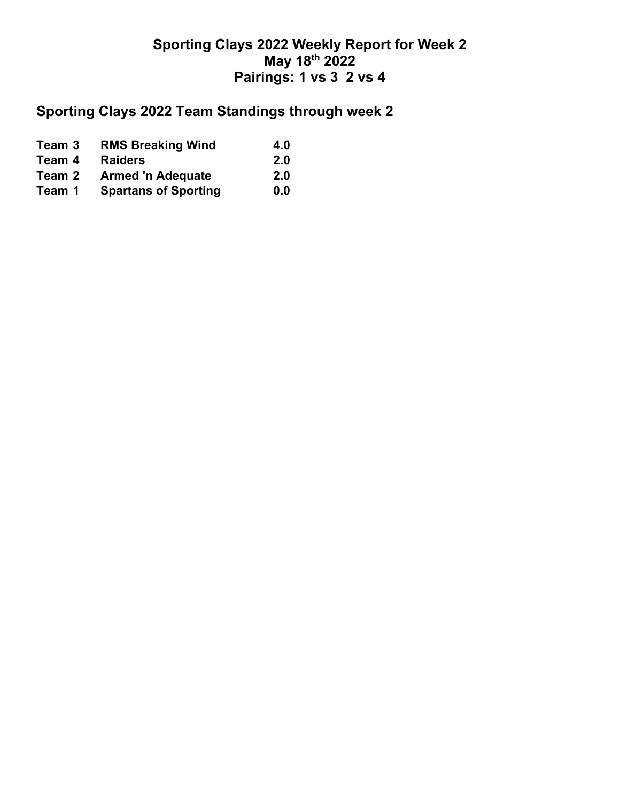## **Sporting Clays 2022 Weekly Report for Week 2 May 18th 2022 Pairings: 1 vs 3 2 vs 4**

## **Sporting Clays 2022 Team Standings through week 2**

| Team 3 | <b>RMS Breaking Wind</b>    | 4.0 |
|--------|-----------------------------|-----|
| Team 4 | <b>Raiders</b>              | 2.0 |
| Team 2 | <b>Armed 'n Adequate</b>    | 2.0 |
| Team 1 | <b>Spartans of Sporting</b> | 0.0 |